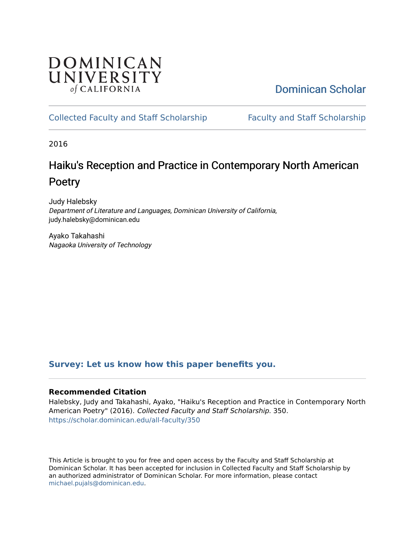## DOMINICAN UNIVERSITY of CALIFORNIA

# [Dominican Scholar](https://scholar.dominican.edu/)

## [Collected Faculty and Staff Scholarship](https://scholar.dominican.edu/all-faculty) [Faculty and Staff Scholarship](https://scholar.dominican.edu/faculty-scholarship)

2016

# Haiku's Reception and Practice in Contemporary North American Poetry

Judy Halebsky Department of Literature and Languages, Dominican University of California, judy.halebsky@dominican.edu

Ayako Takahashi Nagaoka University of Technology

## **[Survey: Let us know how this paper benefits you.](https://dominican.libwizard.com/dominican-scholar-feedback)**

#### **Recommended Citation**

Halebsky, Judy and Takahashi, Ayako, "Haiku's Reception and Practice in Contemporary North American Poetry" (2016). Collected Faculty and Staff Scholarship. 350. [https://scholar.dominican.edu/all-faculty/350](https://scholar.dominican.edu/all-faculty/350?utm_source=scholar.dominican.edu%2Fall-faculty%2F350&utm_medium=PDF&utm_campaign=PDFCoverPages) 

This Article is brought to you for free and open access by the Faculty and Staff Scholarship at Dominican Scholar. It has been accepted for inclusion in Collected Faculty and Staff Scholarship by an authorized administrator of Dominican Scholar. For more information, please contact [michael.pujals@dominican.edu.](mailto:michael.pujals@dominican.edu)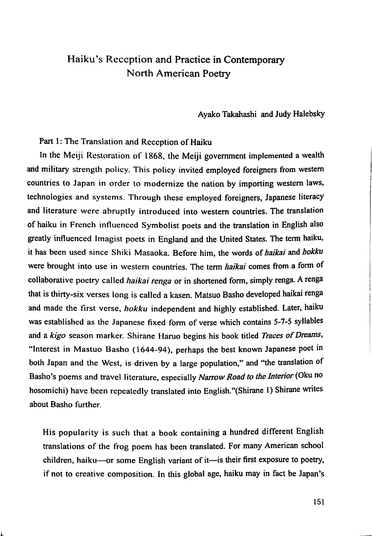### Haiku's Reception and Practice in Contemporary North American Poetry

Ayako Takahashi and Judy Halebsky

Part 1: The Translation and Reception of Haiku

In the Meiji Restoration of 1868, the Meiji government implemented a wealth and military strength policy. This policy invited employed foreigners from western countries to Japan in order to modernize the nation by importing western laws, technologies and systems. Through these employed foreigners, Japanese literacy and literature were abruptly introduced into western countries. The translation of haiku in French influenced Symbolist poets and the translation in English also greatly influenced Imagist poets in England and the United States. The term haiku, it has been used since Shiki Masaoka. Before him, the words of haikai and hokku were brought into use in western countries. The term haikai comes from a form of collaborative poetry called haikai renga or in shortened form, simply renga. A renga that is thirty-six verses long is called a kasen. Matsuo Basho developed haikai renga and made the first verse, hokku independent and highly established. Later, haiku was established as the Japanese fixed form of verse which contains 5-7-5 syllables and a kigo season marker. Shirane Haruo begins his book titled Traces of Dreams, "Interest in Mastuo Basho (1644-94), perhaps the best known Japanese poet in both Japan and the West, is driven by a large population," and "the translation of Basho's poems and travel literature, especially Narrow Road to the Interior (Oku no hosomichi) have been repeatedly translated into English."(Shirane 1) Shirane writes about Basho further.

His popularity is such that a book containing a hundred different English translations of the frog poem has been translated. For many American school children, haiku—or some English variant of it—is their first exposure to poetry, if not to creative composition. In this global age, haiku may in fact be Japan's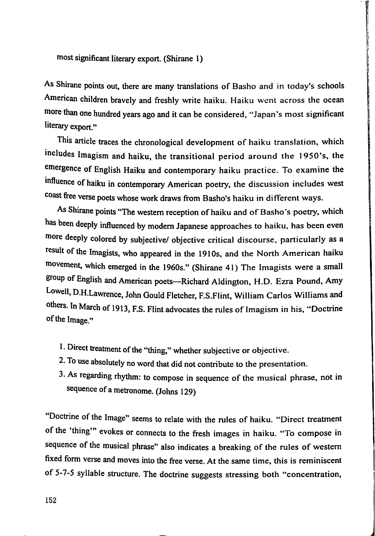most significant literary export. (Shirane 1)

As Shirane points out, there are many translations of Basho and in today's schools American children bravely and freshly write haiku. Haiku went across the ocean more than one hundred years ago and it can be considered, "Japan's most significant literary export."

This article traces the chronological development of haiku translation, which includes Imagism and haiku, the transitional period around the 1950's, the emergence of English Haiku and contemporary haiku practice. To examine the influence of haiku in contemporary American poetry, the discussion includes west coast free verse poets whose work draws from Basho's haiku in different ways.

As Shirane points "The western reception of haiku and of Basho's poetry, which has been deeply influenced by modem Japanese approaches to haiku, has been even more deeply colored by subjective/ objective critical discourse, particularly as a result of the Imagists, who appeared in the 1910s, and the North American haiku movement, which emerged in the 1960s." (Shirane 41) The Imagists were a small group of English and American poets—Richard Aldington, H.D. Ezra Pound, Amy Lowell, D.H.Lawrence, John Gould Fletcher, F.S.Flint, William Carlos Williams and others. In March of 1913, F.S. Flint advocates the rules of Imagism in his, "Doctrine of the Image."

- 1. Direct treatment of the "thing," whether subjective or objective.
- 2. To use absolutely no word that did not contribute to the presentation.
- 3. As regarding rhythm: to compose in sequence of the musical phrase, not in sequence of a metronome. (Johns 129)

Doctrine of the Image" seems to relate with the rules of haiku. "Direct treatment of the 'thing" evokes or connects to the fresh images in haiku. "To compose in sequence of the musical phrase" also indicates a breaking of the rules of western fixed form verse and moves into the free verse. At the same time, this is reminiscent of 5-7-5 syllable structure. The doctrine suggests stressing both "concentration,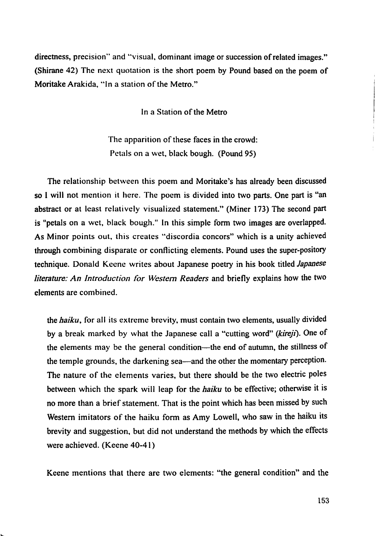directness, precision" and "visual, dominant image or succession of related images." (Shirane 42) The next quotation is the short poem by Pound based on the poem of Moritake Arakida, "in a station of the Metro."

In a Station of the Metro

The apparition of these faces in the crowd: Petals on a wet, black bough. (Pound 95)

The relationship between this poem and Moritake's has already been discussed so I will not mention it here. The poem is divided into two parts. One part is "an abstract or at least relatively visualized statement." (Miner 173) The second part is "petals on a wet, black bough." In this simple form two images are overlapped. As Minor points out, this creates "discordia concors" which is a unity achieved through combining disparate or conflicting elements. Pound uses the super-pository technique. Donald Keene writes about Japanese poetry in his book titled *Japanese* literature: An Introduction for Western Readers and briefly explains how the two elements are combined.

the haiku, for all its extreme brevity, must contain two elements, usually divided by a break marked by what the Japanese call a "cutting word" (kireji). One of the elements may be the general condition—the end of autumn, the stillness of the temple grounds, the darkening sea—and the other the momentary perception. The nature of the elements varies, but there should be the two electric poles between which the spark will leap for the haiku to be effective; otherwise it is no more than a brief statement. That is the point which has been missed by such Western imitators of the haiku form as Amy Lowell, who saw in the haiku its brevity and suggestion, but did not understand the methods by which the effects were achieved. (Keene 40-41)

Keene mentions that there are two elements: "the general condition" and the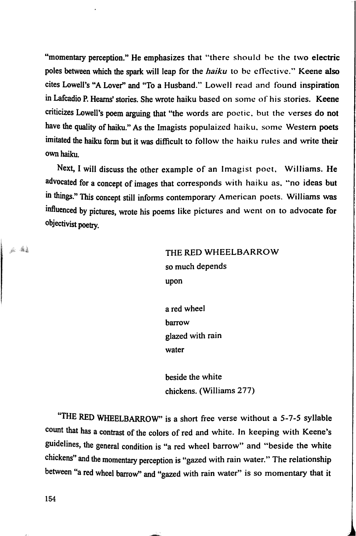"momentary perception." He emphasizes that "there should be the two electric poles between which the spark will leap for the haiku to be effective." Keene also cites Lowell's "A Lover" and "To a Husband." Lowell read and found inspiration in Lafcadio P. Heams' stories. She wrote haiku based on some of his stories. Keene criticizes Lowell's poem arguing that "the words are poetic, but the verses do not have the quality of haiku." As the Imagists populaized haiku, some Western poets imitated the haiku form but it was difficult to follow the haiku rules and write their own haiku.

Next, I will discuss the other example of an Imagist poet, Williams, He advocated for a concept of images that corresponds with haiku as, "no ideas but m things." This concept still informs contemporary American poets. Williams was influenced by pictures, wrote his poems like pictures and went on to advocate for objectivist poetry.

> THE RED WHEELBARROW so much depends upon

a red wheel barrow glazed with rain water

beside the white chickens. (Williams 277)

"THE RED WHEELBARROW" is a short free verse without a 5-7-5 syllable count that has a contrast of the colors of red and white. In keeping with Keene's guidelines, the general condition is "a red wheel barrow" and "beside the white chickens" and the momentary perception is "gazed with rain water," The relationship between "a red wheel barrow" and "gazed with rain water" is so momentary that it

154

an dia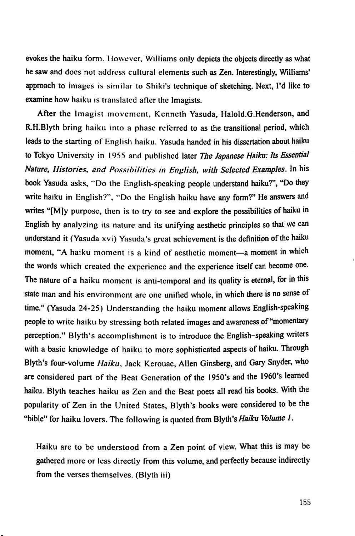evokes the haiku form. However, Williams only depicts the objects directly as what he saw and does not address cultural elements such as Zen. Interestingly, Williams' approach to images is similar to Shiki's technique of sketching. Next, I'd like to examine how haiku is translated after the Imagists.

After the Imagist movement, Kenneth Yasuda, Haloid.G.Henderson, and R.H.Blyth bring haiku into a phase referred to as the transitional period, which leads to the starting of English haiku. Yasuda handed in his dissertation about haiku to Tokyo University in 1955 and published later The Japanese Haiku: Its Essential Nature, Histories, and Possibilities in English, with Selected Examples. In his book Yasuda asks, "Do the English-speaking people understand haiku?", "Do they write haiku in English?", "Do the English haiku have any form?" He answers and writes "[M]y purpose, then is to try to see and explore the possibilities of haiku in English by analyzing its nature and its unifying aesthetic principles so that we can understand it (Yasuda xvi) Yasuda's great achievement is the definition of the haiku moment, "A haiku moment is a kind of aesthetic moment—a moment in which the words which created the experience and the experience itself can become one. The nature of a haiku moment is anti-temporal and its quality is eternal, for in this state man and his environment are one unified whole, in which there is no sense of time." (Yasuda 24-25) Understanding the haiku moment allows English-speaking people to write haiku by stressing both related images and awareness of "momentary perception." Blyth's accomplishment is to introduce the English-speaking writers with a basic knowledge of haiku to more sophisticated aspects of haiku. Through Blyth's four-volume Haiku, Jack Kerouac, Allen Ginsberg, and Gary Snyder, who are considered part of the Beat Generation of the 1950's and the 1960's learned haiku. Blyth teaches haiku as Zen and the Beat poets all read his books. With the popularity of Zen in the United States, Blyth's books were considered to be the "bible" for haiku lovers. The following is quoted from Blyth's Haiku Volume  $1$ .

Haiku are to be understood from a Zen point of view. What this is may be gathered more or less directly from this volume, and perfectly because indirectly from the verses themselves. (Blyth iii)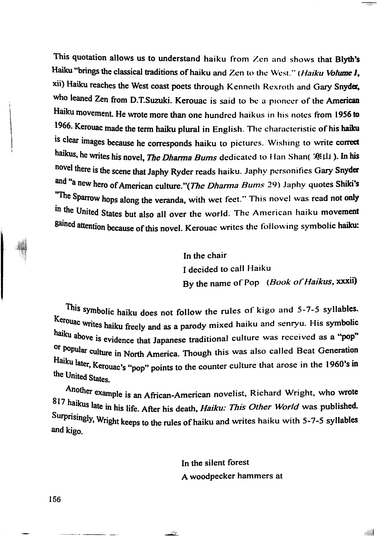This quotation allows us to understand haiku from Zen and shows that Blyth's Haiku "brings the classical traditions of haiku and Zen to the West." (Haiku Volume 1, xii) Haiku reaches the West coast poets through Kenneth Rexroth and Gary Snyder, who leaned Zen from D.T.Suzuki. Kerouac is said to he a pioneer of the American Haiku movement He wrote more than one hundred haikus in his notes from 1956 to 1966. Kerouac made the term haiku plural in English. The characteristic of his haiku is clear images because he corresponds haiku to pictures. Wishing to write correct haikus, he writes his novel, *The Dharma Bums* dedicated to Han Shan( 寒山). In his novel there is the scene that Japhy Ryder reads haiku. Japhy personifies Gary Snyder and "a new hero of American culture."(The Dharma Bums 29) Japhy quotes Shiki's "The Sparrow hops along the veranda, with wet feet." This novel was read not only 'n the United States but also all over the world. The American haiku movement sained attention because of this novel. Kerouac writes the following symbolic haiku:

> In the chair I decided to call Haiku By the name of Pop (Book of Haikus, xxxii)

This symbolic haiku does not follow the rules of kigo and 5-7-5 syllables. kerouac writes haiku freely and as a parody mixed haiku and senryu. His symbolic haiku above is evidence that Japanese traditional culture was received as a "pop" Of popular culture in North America. Though this was also called Beat Generation Haiku later, Kerouac's "pop" points to the counter culture that arose in the 1960's in the United States.

Mother example is an African-American novelist, Richard Wright, who wrote 817 haikus late in his life. After his death, *Haiku: This Other World* was published. Surprisingly, Wright keeps to the rules of haiku and writes haiku with 5-7-5 syllables and kigo.

> In the silent forest A woodpecker hammers at

> > **AN**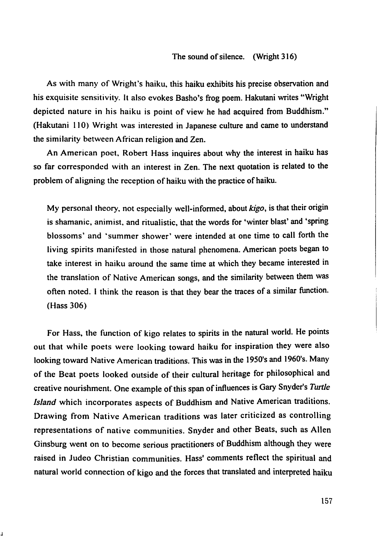As with many of Wright's haiku, this haiku exhibits his precise observation and his exquisite sensitivity, it also evokes Basho's frog poem. Hakutani writes "Wright depicted nature in his haiku is point of view he had acquired from Buddhism." (Hakutani 110) Wright was interested in Japanese culture and came to understand the similarity between African religion and Zen.

An American poet, Robert Hass inquires about why the interest in haiku has so far corresponded with an interest in Zen. The next quotation is related to the problem of aligning the reception of haiku with the practice of haiku.

My personal theory, not especially well-informed, about kigo, is that their origin is shamanic, animist, and ritualistic, that the words for 'winter blast' and 'spring blossoms' and 'summer shower' were intended at one time to call forth the living spirits manifested in those natural phenomena. American poets began to take interest in haiku around the same time at which they became interested in the translation of Native American songs, and the similarity between them was often noted. 1 think the reason is that they bear the traces of a similar fimction. (Hass 306)

For Hass, the function of kigo relates to spirits in the natural world. He points out that while poets were looking toward haiku for inspiration they were also looking toward Native American traditions. This was in the 1950's and 1960's. Many of the Beat poets looked outside of their cultural heritage for philosophical and creative nourishment. One example of this span of influences is Gary Snyder's Turtle Island which incorporates aspects of Buddhism and Native American traditions. Drawing from Native American traditions was later criticized as controlling representations of native communities. Snyder and other Beats, such as Allen Ginsburg went on to become serious practitioners of Buddhism although they were raised in Judeo Christian communities. Hass' comments reflect the spiritual and natural world connection of kigo and the forces that translated and interpreted haiku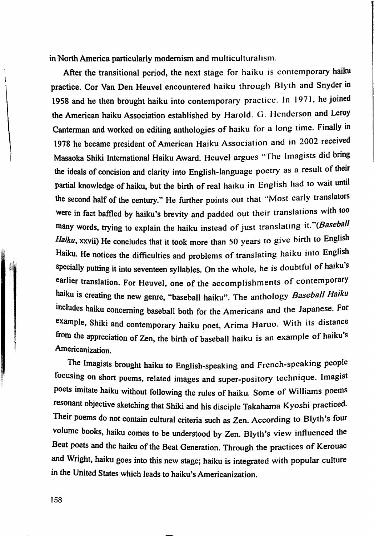in North America particularly modernism and multicuituraiism.

After the transitional period, the next stage for haiku is contemporary haiku practice. Cor Van Den Heuvel encountered haiku through Blyth and Snyder in 1958 and he then brought haiku into contemporary practice. In 1971, he joined the American haiku Association established by Harold. G. Henderson and Leroy Canterman and worked on editing anthologies of haiku for a long time. Finally in 1978 he became president of American Haiku Association and in 2002 received Masaoka Shiki Intemational Haiku Award. Heuvel argues "The Imagists did bring the ideals of concision and clarity into English-language poetry as a result of their partial knowledge of haiku, but the birth of real haiku in English had to wait until the second half of the century." He further points out that "Most early translators were in fact baffled by haiku's brevity and padded out their translations with too many words, trying to explain the haiku instead of just translating it."(Baseball Haiku, xxvii) He concludes that it took more than 50 years to give birth to English Haiku. He notices the difficulties and problems of translating haiku into English specially putting it into seventeen syllables. On the whole, he is doubtful of haiku's earlier translation. For Heuvel, one of the accomplishments of contemporary haiku is creating the new genre, "baseball haiku". The anthology Baseball Haiku includes haiku concerning baseball both for the Americans and the Japanese. For example, Shiki and contemporary haiku poet, Arima Haruo. With its distance from the appreciation of Zen, the birth of baseball haiku is an example of haiku's Americanization.

The Imagists brought haiku to English-speaking and French-speaking people focusing on short poems, related images and super-pository technique. Imagist poets imitate haiku without following the rules of haiku. Some of Williams poems resonant objective sketching that Shiki and his disciple Takahama Kyoshi practiced. Their poems do not contain cultural criteria such as Zen. According to Blyth's four volume books, haiku comes to be understood by Zen. Blyth's view influenced the Beat poets and the haiku of the Beat Generation. Through the practices of Kerouac and Wright, haiku goes into this new stage; haiku is integrated with popular culture in the United States which leads to haiku's Americanization.

158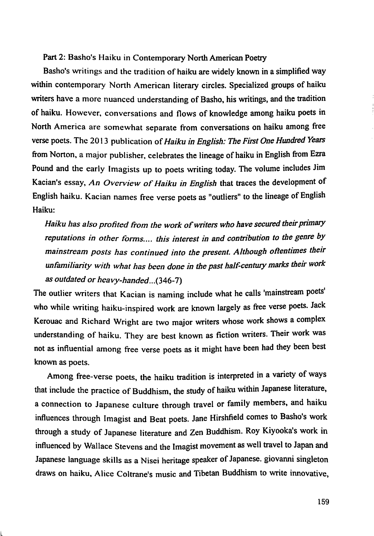#### Part 2: Basho's Haiku in Contemporary North American Poetry

Basho's writings and the tradition of haiku are widely known in a simplified way within contemporary North American literary circles. Specialized groups of haiku writers have a more nuanced understanding of Basho, his writings, and the tradition of haiku. However, conversations and flows of knowledge among haiku poets in North America are somewhat separate from conversations on haiku among free verse poets. The 2013 publication of Haiku in English: The First One Hundred Years from Norton, a major publisher, celebrates the lineage of haiku in English from Ezra Pound and the early Imagists up to poets writing today. The volume includes Jim Kacian's essay. An Overview of Haiku in English that traces the development of English haiku. Kacian names free verse poets as "outliers" to the lineage of English Haiku:

Haiku has also profited from the work of writers who have secured their primary reputations in other forms.... this interest in and contribution to the genre by mainstream posts has continued into the present. Although oftentimes their unfamiliarity with what has been done in the past half-century marks their work as outdated or heavy-handed...(346-7)

The outlier writers that Kacian is naming include what he calls 'mainstream poets' who while writing haiku-inspired work are known largely as free verse poets. Jack Kerouac and Richard Wright are two major writers whose work shows a complex understanding of haiku. They are best known as fiction writers. Their work was not as influential among free verse poets as it might have been had they been best known as poets.

Among free-verse poets, the haiku tradition is interpreted in a variety of ways that include the practice of Buddhism, the study of haiku within Japanese literature, a connection to Japanese culture through travel or family members, and haiku influences through Imagist and Beat poets. Jane Hirshfield comes to Basho's work through a study of Japanese literature and Zen Buddhism. Roy Kiyooka's work in influenced by Wallace Stevens and the Imagist movement as well travel to Japan and Japanese language skills as a Nisei heritage speaker of Japanese, giovanni singleton draws on haiku, Alice Coltrane's music and Tibetan Buddhism to write innovative.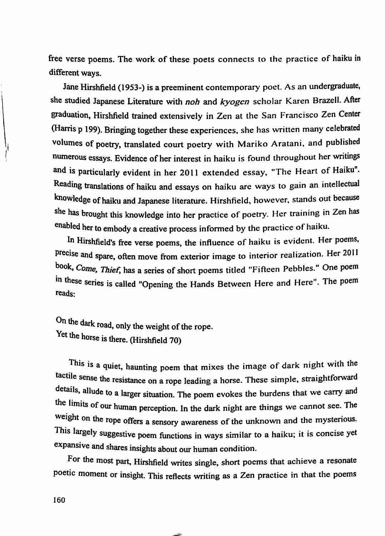free verse poems. The work of these poets connects to the practice of haiku in different ways.

Jane Hirshfield (1953-) is a preeminent contemporary poet. As an undergraduate, she studied Japanese Literature with noh and kyogen scholar Karen Brazell. After graduation, Hirshfield trained extensively in Zen at the San Francisco Zen Center (Harris p 199). Bringing together these experiences, she has written many celebrated volumes of poetry, translated court poetry with Mariko Aratani, and published numerous essays. Evidence of her interest in haiku is found throughout her writings and is particularly evident in her 2011 extended essay, "The Heart of Haiku". Reading translations of haiku and essays on haiku are ways to gain an intellectual knowledge of haiku and Japanese literature. Hirshfield, however, stands out because she has brought this knowledge into her practice of poetry. Her training in Zen has enabled her to embody a creative process informed by the practice of haiku.

In Hirshfield's free verse poems, the influence of haiku is evident. Her poems, precise and spare, often move from exterior image to interior realization. Her 2011 book, Come, Thief, has a series of short poems titled "Fifteen Pebbles." One poem in these series is called "Opening the Hands Between Here and Here". The poem reads:

On the dark road, only the weight of the rope. Yet the horse is there. (Hirshfield 70)

Yhis is a quiet, haunting poem that mixes the image of dark night with the tactile sense the resistance on a rope leading a horse. These simple, straightforward etails, allude to a larger situation. The poem evokes the burdens that we carry and the limits of our human perception. In the dark night are things we cannot see. The weight on the rope offers a sensory awareness of the unknown and the mysterious. This largely suggestive poem fimctions in ways similar to a haiku; it is concise yet expansive and shares insights about our human condition.

For the most part, Hirshfield writes single, short poems that achieve a resonate poetic moment or insight. This reflects writing as a Zen practice in that the poems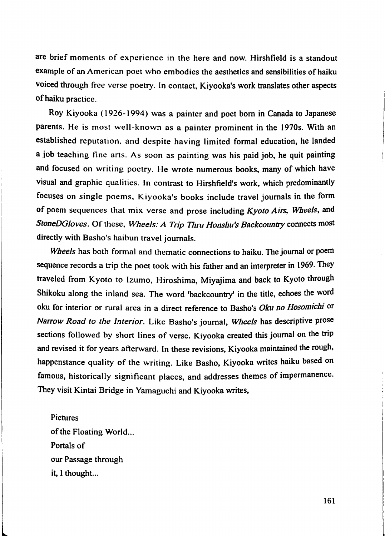are brief moments of experience in the here and now. Hirshfield is a standout example of an American poet who embodies the aesthetics and sensibilities of haiku voiced through free verse poetry. In contact, Kiyooka's work translates other aspects of haiku practice.

Roy Kiyooka (1926-1994) was a painter and poet bom in Canada to Japanese parents. He is most well-known as a painter prominent in the 1970s. With an established reputation, and despite having limited formal education, he landed a job teaching fine arts. As soon as painting was his paid job, he quit painting and focused on writing poetry. He wrote numerous books, many of which have visual and graphic qualities. In contrast to Hirshfield's work, which predominantly focuses on single poems, Kiyooka's books include travel journals in the form of poem sequences that mix verse and prose including  $Kyoto Airs$ , Wheels, and StoneDGloves. Of these, Wheels: A Trip Thru Honshu's Backcountry connects most directly with Basho's haibun travel journals.

Wheels has both formal and thematic connections to haiku. The journal or poem sequence records a trip the poet took with his father and an interpreter in 1969. They traveled from Kyoto to Izumo, Hiroshima, Miyajima and back to Kyoto through Shikoku along the inland sea. The word 'backcountry' in the title, echoes the word oku for interior or rural area in a direct reference to Basho's Oku no Hosomichi or Narrow Road to the Interior. Like Basho's journal. Wheels has descriptive prose sections followed by short lines of verse. Kiyooka created this journal on the trip and revised it for years afterward. In these revisions, Kiyooka maintained the rough, happenstance quality of the writing. Like Basho, Kiyooka writes haiku based on famous, historically significant places, and addresses themes of impermanence. They visit Kintai Bridge in Yamaguchi and Kiyooka writes.

Pictures of the Floating World... Portals of our Passage through it, 1 thought...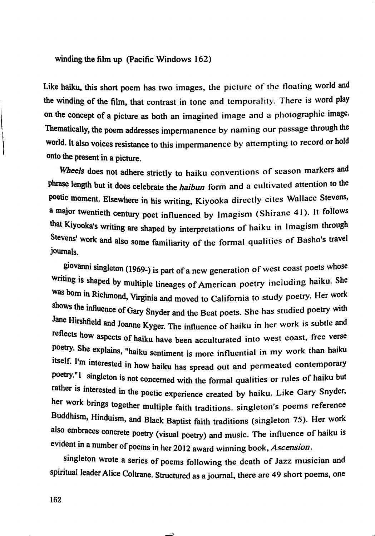winding the film up (Pacific Windows 162)

Like haiku, this short poem has two images, the picture of the floating world and the winding of the film, that contrast in tone and temporality. There is word play on the concept of a picture as both an imagined image and a photographic image. Thematically, the poem addresses impermanence by naming our passage through the world. It also voices resistance to this impermanence by attempting to record or hold onto the present in a picture.

Wheels does not adhere strictly to haiku conventions of season markers and phrase length but it does celebrate the haibun form and a cultivated attention to the poetic moment. Elsewhere in his writing, Kiyooka directly cites Wallace Stevens, a major twentieth century poet influenced by Imagism (Shirane 41). It follows that Kiyooka's writing are shaped by interpretations of haiku in Imagism through Stevens' work and also some familiarity of the formal qualities of Basho's travel journals.

giovanni singleton (1969-) is part of a new generation of west coast poets whose writing is shaped by multiple lineages of American poetry including haiku. She was bom in Richmond, Virginia and moved to California to study poetry. Her work shows the influence of Gary Snyder and the Beat poets. She has studied poetry with Jane Hirshfield and Joanne Kyger. The influence of haiku in her work is subtle and reflects how aspects of haiku have been acculturated into west coast, free verse poetry. She explains, "haiku sentiment is more influential in my work than haiku itself. I'm interested in how haiku has spread out and permeated contemporary poetry. 1 singleton is not concerned with the formal qualities or rules of haiku but rather is interested in the poetic experience created by haiku. Like Gary Snyder, her work brings together multiple faith traditions, singleton's poems reference Buddhism, Hinduism, and Black Baptist faith traditions (singleton 75). Her work also embraces concrete poetry (visual poetry) and music. The influence of haiku is evident in a number of poems in her 2012 award winning book. Ascension.

singleton wrote a series of poems following the death of Jazz musician and spiritual leader Alice Coltrane. Structured as a journal, there are 49 short poems, one

162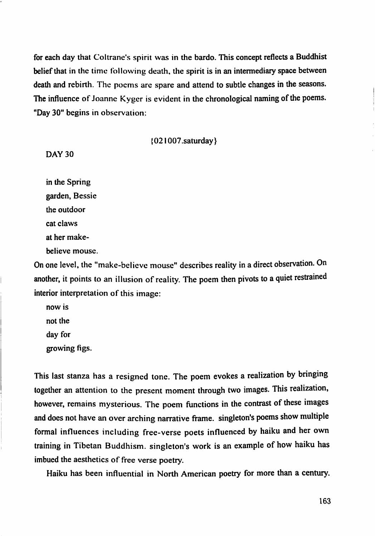for each day that Coltrane's spirit was in the bardo. This concept reflects a Buddhist belief that in the time following death, the spirit is in an intermediary space between death and rebirth. The poems are spare and attend to subtle changes in the seasons. The influence of Joanne Kyger is evident in the chronological naming of the poems. "Day 30" begins in observation:

{021007.saturday}

#### DAY 30

in the Spring garden, Bessie the outdoor cat claws at her makebelieve mouse.

On one level, the "make-believe mouse" describes reality in a direct observation. On another, it points to an illusion of reality. The poem then pivots to a quiet restrained interior interpretation of this image:

now is not the day for growing figs.

This last stanza has a resigned tone. The poem evokes a realization by bringing together an attention to the present moment through two images. This realization, however, remains mysterious. The poem functions in the contrast of these images and does not have an over arching narrative frame, singleton's poems show multiple formal influences including free-verse poets influenced by haiku and her own training in Tibetan Buddhism, singleton's work is an example of how haiku has imbued the aesthetics of free verse poetry.

Haiku has been influential in North American poetry for more than a century.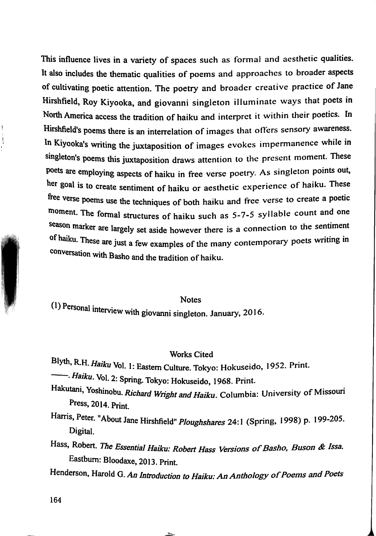This influence lives in a variety of spaces such as formal and aesthetic qualities. It also includes the thematic qualities of poems and approaches to broader aspects of cultivating poetic attention. The poetry and broader creative practice of Jane Hirshfield, Roy Kiyooka, and giovanni singleton illuminate ways that poets in North America access the tradition of haiku and interpret it within their poetics. In Hirshfield's poems there is an interrelation of images that olTers sensory awareness. In Kiyooka's writing the juxtaposition of images evokes impermanence while in singleton's poems this juxtaposition draws attention to the present moment. These poets are employing aspects of haiku in free verse poetry. As singleton points out, her goal is to create sentiment of haiku or aesthetic experience of haiku. These free verse poems use the techniques of both haiku and free verse to create a poetic moment. The formal structures of haiku such as 5-7-5 syllable count and one season marker are largely set aside however there is a connection to the sentiment of haiku. These are just a few examples of the many contemporary poets writing in conversation with Basho and the tradition of haiku.

Notes

 $(1)$  Personal interview with giovanni singleton. January, 2016.

#### Works Cited

Blyth, R.H. Haiku Vol. 1: Eastern Culture. Tokyo: Hokuseido, 1952. Print.

• Haiku. Vol. 2: Spring. Tokyo: Hokuseido, 1968. Print.

Hakutani, Yoshinobu. Richard Wright and Haiku. Columbia: University of Missouri Press, 2014. Print.

Harris, Peter. "About Jane Hirshfield" Ploughshares 24:1 (Spring, 1998) p. 199-205. Digital.

- Hass, Robert. The Essential Haiku: Robert Hass Versions of Basho, Buson & Issa. Eastbum: Bloodaxe, 2013. Print.
- Henderson, Harold G. An Introduction to Haiku: An Anthology of Poems and Poets

 $\rightarrow$ 

164